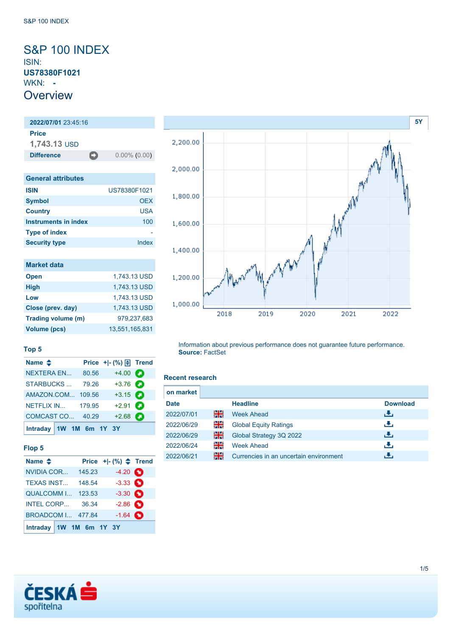### <span id="page-0-0"></span>S&P 100 INDEX ISIN: **US78380F1021** WKN: **- Overview**

### **2022/07/01** 23:45:16 **Price 1,743.13** USD **Difference** 0.00% (0.00) **General attributes ISIN** US78380F1021 **Symbol** OEX **Country** USA **Instruments in index** 100 **Type of index** -

| <b>Market data</b> |                |
|--------------------|----------------|
| <b>Open</b>        | 1,743.13 USD   |
| <b>High</b>        | 1,743.13 USD   |
| Low                | 1,743.13 USD   |
| Close (prev. day)  | 1,743.13 USD   |
| Trading volume (m) | 979,237,683    |
| Volume (pcs)       | 13,551,165,831 |

**Security type Index** 

# **[5Y](#page-0-0)** 2,200.00 2,000.00 1,800.00 1,600.00 1,400.00 1,200.00 1,000.00 2018 2019 2020 2021 2022

#### **Top 5**

| Name $\triangleq$        |       | Price + - (%) $\boxed{\oplus}$ Trend |  |
|--------------------------|-------|--------------------------------------|--|
| <b>NEXTERA EN</b>        | 80.56 | $+4.00$ $\bullet$                    |  |
| <b>STARBUCKS</b>         | 79.26 | $+3.76$                              |  |
| AMAZON.COM 109.56        |       | $+3.15$ $\bullet$                    |  |
| <b>NETFLIX IN 179.95</b> |       | $+2.91$ $\bullet$                    |  |
| COMCAST CO 40.29         |       | $+2.68$                              |  |
| Intraday 1W 1M 6m 1Y 3Y  |       |                                      |  |

#### **Flop 5**

| Name $\triangle$         |        | Price $+$ $ (%)$ $\triangle$ Trend |  |
|--------------------------|--------|------------------------------------|--|
| NVIDIA COR               | 145.23 | $-4.20$ $\bullet$                  |  |
| <b>TEXAS INST</b>        | 148.54 | $-3.33$ $\bullet$                  |  |
| <b>QUALCOMM I 123.53</b> |        | $-3.30$ $\bullet$                  |  |
| INTEL CORP 36.34         |        | $-2.86$ $\bullet$                  |  |
| <b>BROADCOM I 477.84</b> |        | $-1.64$ $\bullet$                  |  |
| Intraday 1W 1M 6m 1Y 3Y  |        |                                    |  |

## **Source:** FactSet

#### **Recent research**

| on market   |    |                                        |                 |
|-------------|----|----------------------------------------|-----------------|
| <b>Date</b> |    | <b>Headline</b>                        | <b>Download</b> |
| 2022/07/01  | 꾊  | <b>Week Ahead</b>                      | ريان            |
| 2022/06/29  | XK | <b>Global Equity Ratings</b>           | رالى            |
| 2022/06/29  | 읡  | Global Strategy 3Q 2022                | Æ,              |
| 2022/06/24  | 꾉뚢 | <b>Week Ahead</b>                      | æ,              |
| 2022/06/21  | 꾊  | Currencies in an uncertain environment |                 |

Information about previous performance does not guarantee future performance.

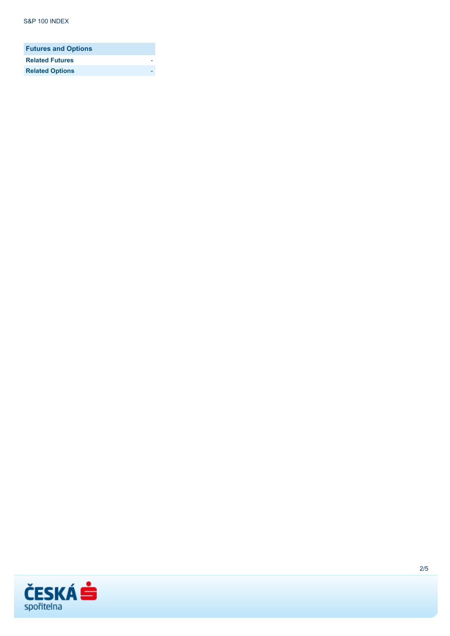| <b>Futures and Options</b> |  |
|----------------------------|--|
| <b>Related Futures</b>     |  |
| <b>Related Options</b>     |  |

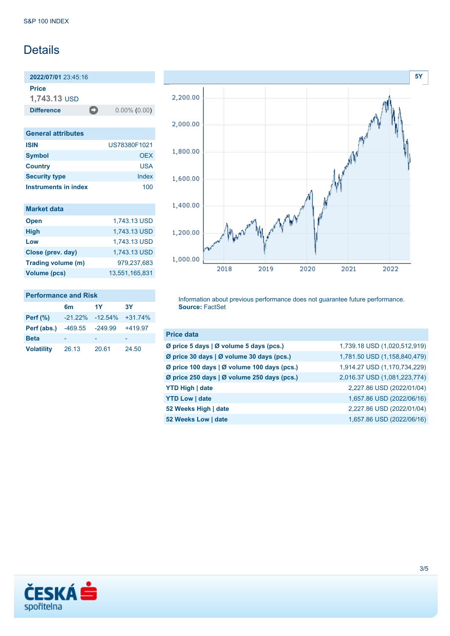## **Details**

**2022/07/01** 23:45:16

**Price**

**1,743.13** USD

**Difference 0.00% (0.00)** 

| <b>General attributes</b> |              |
|---------------------------|--------------|
| <b>ISIN</b>               | US78380F1021 |
| <b>Symbol</b>             | OFX          |
| <b>Country</b>            | USA          |
| <b>Security type</b>      | Index        |
| Instruments in index      | 100          |

| <b>Market data</b>  |                |
|---------------------|----------------|
| <b>Open</b>         | 1,743.13 USD   |
| <b>High</b>         | 1,743.13 USD   |
| Low                 | 1,743.13 USD   |
| Close (prev. day)   | 1,743.13 USD   |
| Trading volume (m)  | 979,237,683    |
| <b>Volume (pcs)</b> | 13,551,165,831 |

## **[5Y](#page-0-0)** 2,200.00 2,000.00 1,800.00 1,600.00  $\mathcal{N}$ 1,400.00 1,200.00 1,000.00 2018 2019 2020 2021 2022

### **Performance and Risk**

|                   | 6 <sub>m</sub>  | 1Y                           | <b>3Y</b> |
|-------------------|-----------------|------------------------------|-----------|
| <b>Perf</b> (%)   |                 | $-21.22\% -12.54\% +31.74\%$ |           |
| Perf (abs.)       | -469.55 -249.99 |                              | $+419.97$ |
| <b>Beta</b>       |                 |                              |           |
| <b>Volatility</b> | 26.13           | 20.61                        | 24.50     |

Information about previous performance does not guarantee future performance. **Source:** FactSet

| <b>Price data</b>                           |                              |
|---------------------------------------------|------------------------------|
| Ø price 5 days   Ø volume 5 days (pcs.)     | 1,739.18 USD (1,020,512,919) |
| Ø price 30 days   Ø volume 30 days (pcs.)   | 1,781.50 USD (1,158,840,479) |
| Ø price 100 days   Ø volume 100 days (pcs.) | 1,914.27 USD (1,170,734,229) |
| Ø price 250 days   Ø volume 250 days (pcs.) | 2,016.37 USD (1,081,223,774) |
| <b>YTD High   date</b>                      | 2,227.86 USD (2022/01/04)    |
| <b>YTD Low   date</b>                       | 1,657.86 USD (2022/06/16)    |
| 52 Weeks High   date                        | 2,227.86 USD (2022/01/04)    |
| 52 Weeks Low   date                         | 1,657.86 USD (2022/06/16)    |

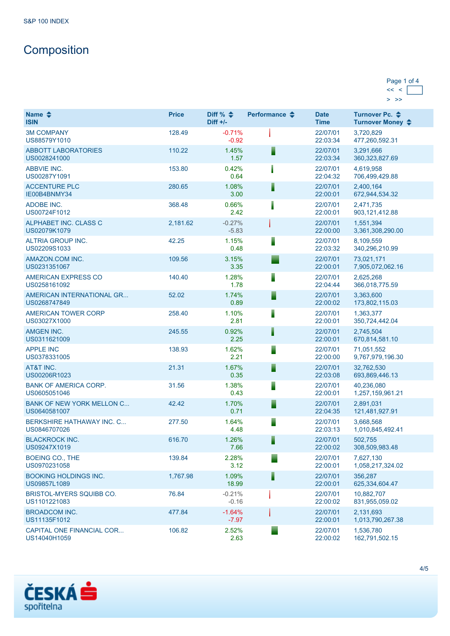# **Composition**

#### Page 1 of 4  $<< <$  $>$   $>$

| Name $\triangle$<br><b>ISIN</b>                  | <b>Price</b> | Diff % $\triangleq$<br>$Diff +/-$ | Performance $\clubsuit$ | <b>Date</b><br><b>Time</b> | Turnover Pc. ♦<br>Turnover Money ♦ |
|--------------------------------------------------|--------------|-----------------------------------|-------------------------|----------------------------|------------------------------------|
| <b>3M COMPANY</b><br>US88579Y1010                | 128.49       | $-0.71%$<br>$-0.92$               |                         | 22/07/01<br>22:03:34       | 3.720.829<br>477,260,592.31        |
| <b>ABBOTT LABORATORIES</b><br>US0028241000       | 110.22       | 1.45%<br>1.57                     | Ī                       | 22/07/01<br>22:03:34       | 3,291,666<br>360, 323, 827.69      |
| <b>ABBVIE INC.</b><br>US00287Y1091               | 153.80       | 0.42%<br>0.64                     |                         | 22/07/01<br>22:04:32       | 4,619,958<br>706,499,429.88        |
| <b>ACCENTURE PLC</b><br>IE00B4BNMY34             | 280.65       | 1.08%<br>3.00                     | Ħ                       | 22/07/01<br>22:00:01       | 2,400,164<br>672,944,534.32        |
| ADOBE INC.<br>US00724F1012                       | 368.48       | 0.66%<br>2.42                     |                         | 22/07/01<br>22:00:01       | 2,471,735<br>903, 121, 412.88      |
| ALPHABET INC. CLASS C<br>US02079K1079            | 2,181.62     | $-0.27%$<br>$-5.83$               |                         | 22/07/01<br>22:00:00       | 1,551,394<br>3,361,308,290.00      |
| ALTRIA GROUP INC.<br>US02209S1033                | 42.25        | 1.15%<br>0.48                     |                         | 22/07/01<br>22:03:32       | 8,109,559<br>340,296,210.99        |
| AMAZON.COM INC.<br>US0231351067                  | 109.56       | 3.15%<br>3.35                     |                         | 22/07/01<br>22:00:01       | 73,021,171<br>7,905,072,062.16     |
| AMERICAN EXPRESS CO<br>US0258161092              | 140.40       | 1.28%<br>1.78                     |                         | 22/07/01<br>22:04:44       | 2,625,268<br>366,018,775.59        |
| AMERICAN INTERNATIONAL GR<br>US0268747849        | 52.02        | 1.74%<br>0.89                     |                         | 22/07/01<br>22:00:02       | 3,363,600<br>173,802,115.03        |
| <b>AMERICAN TOWER CORP</b><br>US03027X1000       | 258.40       | 1.10%<br>2.81                     |                         | 22/07/01<br>22:00:01       | 1,363,377<br>350,724,442.04        |
| <b>AMGEN INC.</b><br>US0311621009                | 245.55       | 0.92%<br>2.25                     | I                       | 22/07/01<br>22:00:01       | 2,745,504<br>670,814,581.10        |
| <b>APPLE INC</b><br>US0378331005                 | 138.93       | 1.62%<br>2.21                     |                         | 22/07/01<br>22:00:00       | 71,051,552<br>9,767,979,196.30     |
| AT&T INC.<br>US00206R1023                        | 21.31        | 1.67%<br>0.35                     |                         | 22/07/01<br>22:03:08       | 32,762,530<br>693,869,446.13       |
| <b>BANK OF AMERICA CORP.</b><br>US0605051046     | 31.56        | 1.38%<br>0.43                     | ▋                       | 22/07/01<br>22:00:01       | 40,236,080<br>1,257,159,961.21     |
| <b>BANK OF NEW YORK MELLON C</b><br>US0640581007 | 42.42        | 1.70%<br>0.71                     | E                       | 22/07/01<br>22:04:35       | 2,891,031<br>121,481,927.91        |
| <b>BERKSHIRE HATHAWAY INC. C</b><br>US0846707026 | 277.50       | 1.64%<br>4.48                     | ٦                       | 22/07/01<br>22:03:13       | 3,668,568<br>1,010,845,492.41      |
| <b>BLACKROCK INC.</b><br>US09247X1019            | 616.70       | 1.26%<br>7.66                     | ▋                       | 22/07/01<br>22:00:02       | 502,755<br>308,509,983.48          |
| <b>BOEING CO., THE</b><br>US0970231058           | 139.84       | 2.28%<br>3.12                     |                         | 22/07/01<br>22:00:01       | 7,627,130<br>1,058,217,324.02      |
| <b>BOOKING HOLDINGS INC.</b><br>US09857L1089     | 1,767.98     | 1.09%<br>18.99                    | I                       | 22/07/01<br>22:00:01       | 356,287<br>625,334,604.47          |
| <b>BRISTOL-MYERS SQUIBB CO.</b><br>US1101221083  | 76.84        | $-0.21%$<br>$-0.16$               |                         | 22/07/01<br>22:00:02       | 10,882,707<br>831,955,059.02       |
| <b>BROADCOM INC.</b><br>US11135F1012             | 477.84       | $-1.64%$<br>$-7.97$               |                         | 22/07/01<br>22:00:01       | 2.131.693<br>1,013,790,267.38      |
| CAPITAL ONE FINANCIAL COR<br>US14040H1059        | 106.82       | 2.52%<br>2.63                     |                         | 22/07/01<br>22:00:02       | 1,536,780<br>162,791,502.15        |